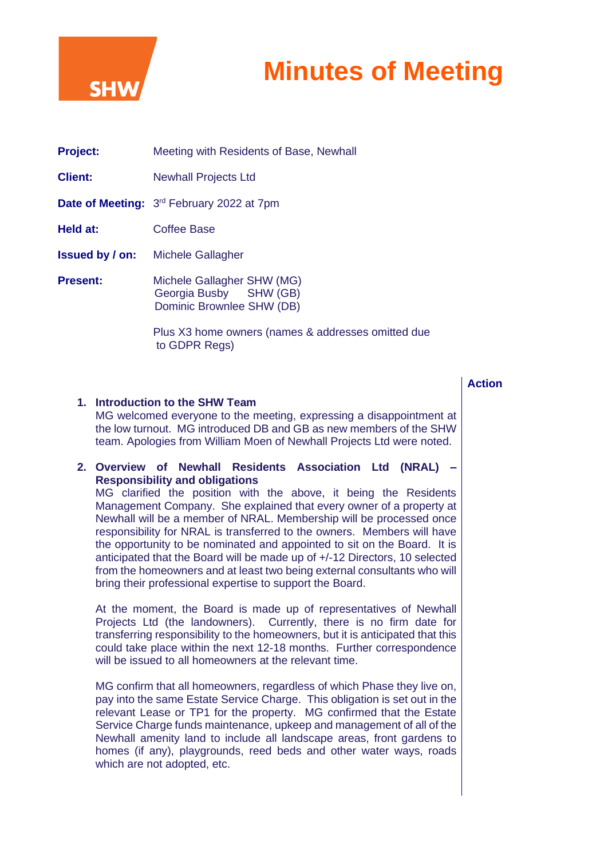

# **Minutes of Meeting**

| <b>Project:</b>        | Meeting with Residents of Base, Newhall                                           |
|------------------------|-----------------------------------------------------------------------------------|
| <b>Client:</b>         | <b>Newhall Projects Ltd</b>                                                       |
|                        | <b>Date of Meeting:</b> 3 <sup>rd</sup> February 2022 at 7pm                      |
| Held at:               | Coffee Base                                                                       |
| <b>Issued by / on:</b> | Michele Gallagher                                                                 |
| <b>Present:</b>        | Michele Gallagher SHW (MG)<br>Georgia Busby SHW (GB)<br>Dominic Brownlee SHW (DB) |
|                        | Plus X3 home owners (names & addresses omitted due                                |

to GDPR Regs)

|  | ction |
|--|-------|
|  |       |
|  |       |

## **1. Introduction to the SHW Team** MG welcomed everyone to the meeting, expressing a disappointment at the low turnout. MG introduced DB and GB as new members of the SHW team. Apologies from William Moen of Newhall Projects Ltd were noted.

#### **2. Overview of Newhall Residents Association Ltd (NRAL) – Responsibility and obligations**  MG clarified the position with the above, it being the Residents Management Company. She explained that every owner of a property at Newhall will be a member of NRAL. Membership will be processed once responsibility for NRAL is transferred to the owners. Members will have the opportunity to be nominated and appointed to sit on the Board. It is anticipated that the Board will be made up of +/-12 Directors, 10 selected from the homeowners and at least two being external consultants who will bring their professional expertise to support the Board.

At the moment, the Board is made up of representatives of Newhall Projects Ltd (the landowners). Currently, there is no firm date for transferring responsibility to the homeowners, but it is anticipated that this could take place within the next 12-18 months. Further correspondence will be issued to all homeowners at the relevant time.

MG confirm that all homeowners, regardless of which Phase they live on, pay into the same Estate Service Charge. This obligation is set out in the relevant Lease or TP1 for the property. MG confirmed that the Estate Service Charge funds maintenance, upkeep and management of all of the Newhall amenity land to include all landscape areas, front gardens to homes (if any), playgrounds, reed beds and other water ways, roads which are not adopted, etc.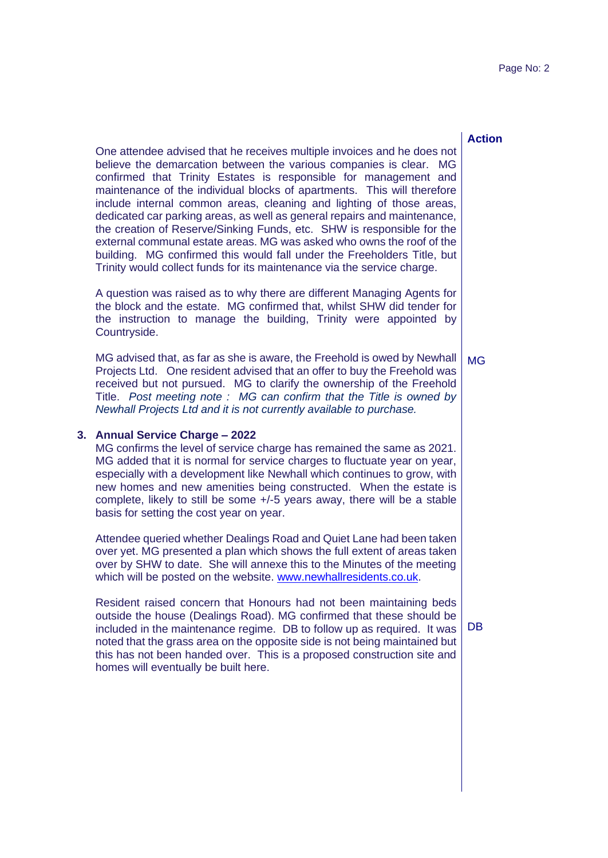### **Action**

One attendee advised that he receives multiple invoices and he does not believe the demarcation between the various companies is clear. MG confirmed that Trinity Estates is responsible for management and maintenance of the individual blocks of apartments. This will therefore include internal common areas, cleaning and lighting of those areas, dedicated car parking areas, as well as general repairs and maintenance, the creation of Reserve/Sinking Funds, etc. SHW is responsible for the external communal estate areas. MG was asked who owns the roof of the building. MG confirmed this would fall under the Freeholders Title, but Trinity would collect funds for its maintenance via the service charge.

A question was raised as to why there are different Managing Agents for the block and the estate. MG confirmed that, whilst SHW did tender for the instruction to manage the building, Trinity were appointed by Countryside.

MG advised that, as far as she is aware, the Freehold is owed by Newhall Projects Ltd. One resident advised that an offer to buy the Freehold was received but not pursued. MG to clarify the ownership of the Freehold Title. *Post meeting note : MG can confirm that the Title is owned by Newhall Projects Ltd and it is not currently available to purchase.* MG

#### **3. Annual Service Charge – 2022**

MG confirms the level of service charge has remained the same as 2021. MG added that it is normal for service charges to fluctuate year on year, especially with a development like Newhall which continues to grow, with new homes and new amenities being constructed. When the estate is complete, likely to still be some +/-5 years away, there will be a stable basis for setting the cost year on year.

Attendee queried whether Dealings Road and Quiet Lane had been taken over yet. MG presented a plan which shows the full extent of areas taken over by SHW to date. She will annexe this to the Minutes of the meeting which will be posted on the website. [www.newhallresidents.co.uk.](http://www.newhallresidents.co.uk/)

Resident raised concern that Honours had not been maintaining beds outside the house (Dealings Road). MG confirmed that these should be included in the maintenance regime. DB to follow up as required. It was noted that the grass area on the opposite side is not being maintained but this has not been handed over. This is a proposed construction site and homes will eventually be built here.

DB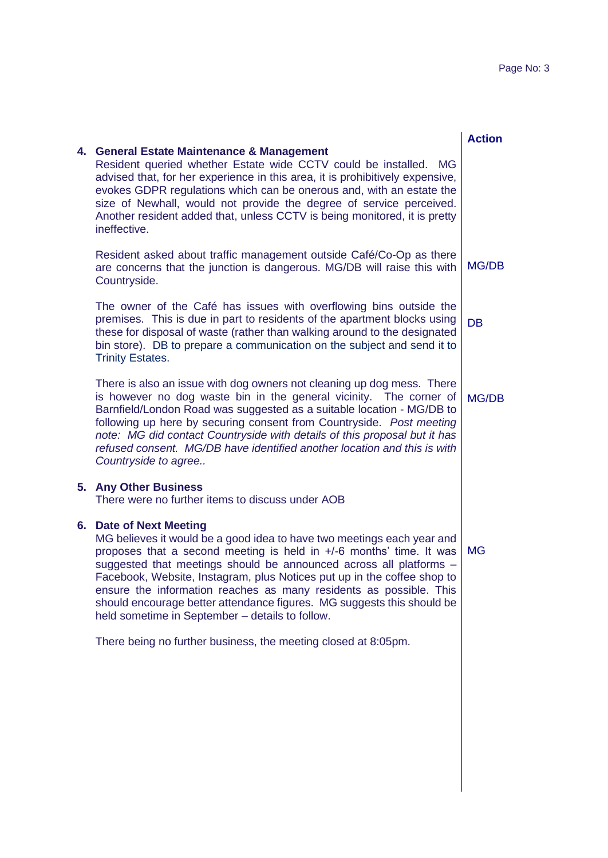$\overline{\phantom{a}}$ 

|    |                                                                                                                                                                                                                                                                                                                                                                                                                                                                                                                                  | <b>Action</b> |
|----|----------------------------------------------------------------------------------------------------------------------------------------------------------------------------------------------------------------------------------------------------------------------------------------------------------------------------------------------------------------------------------------------------------------------------------------------------------------------------------------------------------------------------------|---------------|
|    | 4. General Estate Maintenance & Management<br>Resident queried whether Estate wide CCTV could be installed. MG<br>advised that, for her experience in this area, it is prohibitively expensive,<br>evokes GDPR regulations which can be onerous and, with an estate the<br>size of Newhall, would not provide the degree of service perceived.<br>Another resident added that, unless CCTV is being monitored, it is pretty<br>ineffective.                                                                                      |               |
|    | Resident asked about traffic management outside Café/Co-Op as there<br>are concerns that the junction is dangerous. MG/DB will raise this with<br>Countryside.                                                                                                                                                                                                                                                                                                                                                                   | <b>MG/DB</b>  |
|    | The owner of the Café has issues with overflowing bins outside the<br>premises. This is due in part to residents of the apartment blocks using<br>these for disposal of waste (rather than walking around to the designated<br>bin store). DB to prepare a communication on the subject and send it to<br><b>Trinity Estates.</b>                                                                                                                                                                                                | <b>DB</b>     |
|    | There is also an issue with dog owners not cleaning up dog mess. There<br>is however no dog waste bin in the general vicinity. The corner of<br>Barnfield/London Road was suggested as a suitable location - MG/DB to<br>following up here by securing consent from Countryside. Post meeting<br>note: MG did contact Countryside with details of this proposal but it has<br>refused consent. MG/DB have identified another location and this is with<br>Countryside to agree                                                   | <b>MG/DB</b>  |
|    | 5. Any Other Business<br>There were no further items to discuss under AOB                                                                                                                                                                                                                                                                                                                                                                                                                                                        |               |
| 6. | <b>Date of Next Meeting</b><br>MG believes it would be a good idea to have two meetings each year and<br>proposes that a second meeting is held in +/-6 months' time. It was<br>suggested that meetings should be announced across all platforms -<br>Facebook, Website, Instagram, plus Notices put up in the coffee shop to<br>ensure the information reaches as many residents as possible. This<br>should encourage better attendance figures. MG suggests this should be<br>held sometime in September - details to follow. | <b>MG</b>     |
|    | There being no further business, the meeting closed at 8:05pm.                                                                                                                                                                                                                                                                                                                                                                                                                                                                   |               |
|    |                                                                                                                                                                                                                                                                                                                                                                                                                                                                                                                                  |               |